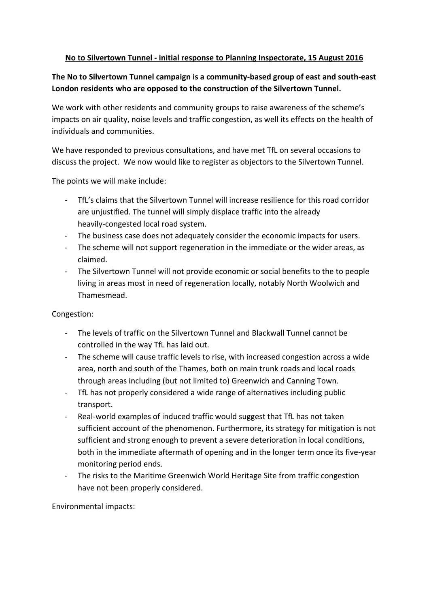## **No to Silvertown Tunnel - initial response to Planning Inspectorate, 15 August 2016**

## The No to Silvertown Tunnel campaign is a community-based group of east and south-east **London residents who are opposed to the construction of the Silvertown Tunnel.**

We work with other residents and community groups to raise awareness of the scheme's impacts on air quality, noise levels and traffic congestion, as well its effects on the health of individuals and communities.

We have responded to previous consultations, and have met TfL on several occasions to discuss the project. We now would like to register as objectors to the Silvertown Tunnel.

The points we will make include:

- TfL's claims that the Silvertown Tunnel will increase resilience for this road corridor are unjustified. The tunnel will simply displace traffic into the already heavily-congested local road system.
- The business case does not adequately consider the economic impacts for users.
- The scheme will not support regeneration in the immediate or the wider areas, as claimed.
- The Silvertown Tunnel will not provide economic or social benefits to the to people living in areas most in need of regeneration locally, notably North Woolwich and Thamesmead.

Congestion:

- The levels of traffic on the Silvertown Tunnel and Blackwall Tunnel cannot be controlled in the way TfL has laid out.
- The scheme will cause traffic levels to rise, with increased congestion across a wide area, north and south of the Thames, both on main trunk roads and local roads through areas including (but not limited to) Greenwich and Canning Town.
- TfL has not properly considered a wide range of alternatives including public transport.
- Real-world examples of induced traffic would suggest that TfL has not taken sufficient account of the phenomenon. Furthermore, its strategy for mitigation is not sufficient and strong enough to prevent a severe deterioration in local conditions, both in the immediate aftermath of opening and in the longer term once its five-year monitoring period ends.
- The risks to the Maritime Greenwich World Heritage Site from traffic congestion have not been properly considered.

Environmental impacts: